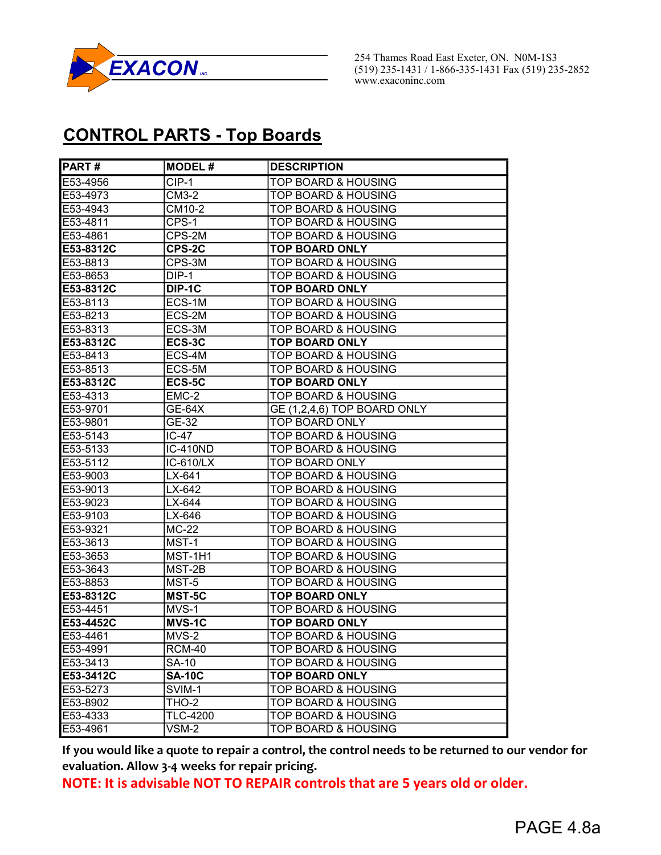

254 Thames Road East Exeter, ON. N0M-1S3<br>
(519) 235-1431 / 1-866-335-1431 Fax (519) 235-2852 www.exaconinc.com

## CONTROL PARTS - Top Boards

| PART#             | <b>MODEL#</b>           | <b>DESCRIPTION</b>             |
|-------------------|-------------------------|--------------------------------|
| E53-4956          | $CIP-1$                 | <b>TOP BOARD &amp; HOUSING</b> |
| E53-4973          | CM3-2                   | <b>TOP BOARD &amp; HOUSING</b> |
| E53-4943          | CM10-2                  | TOP BOARD & HOUSING            |
| E53-4811          | CPS-1                   | <b>TOP BOARD &amp; HOUSING</b> |
| E53-4861          | CPS-2M                  | <b>TOP BOARD &amp; HOUSING</b> |
| E53-8312C         | CPS-2C                  | <b>TOP BOARD ONLY</b>          |
| E53-8813          | CPS-3M                  | TOP BOARD & HOUSING            |
| E53-8653          | DIP-1                   | <b>TOP BOARD &amp; HOUSING</b> |
| <b>IE53-8312C</b> | DIP-1C                  | <b>TOP BOARD ONLY</b>          |
| <b>E53-8113</b>   | ECS-1M                  | TOP BOARD & HOUSING            |
| E53-8213          | ECS-2M                  | <b>TOP BOARD &amp; HOUSING</b> |
| E53-8313          | ECS-3M                  | <b>TOP BOARD &amp; HOUSING</b> |
| E53-8312C         | ECS-3C                  | <b>TOP BOARD ONLY</b>          |
| E53-8413          | ECS-4M                  | <b>TOP BOARD &amp; HOUSING</b> |
| E53-8513          | ECS-5M                  | <b>TOP BOARD &amp; HOUSING</b> |
| E53-8312C         | ECS-5C                  | <b>TOP BOARD ONLY</b>          |
| E53-4313          | EMC-2                   | <b>TOP BOARD &amp; HOUSING</b> |
| E53-9701          | $GE-64X$                | GE (1,2,4,6) TOP BOARD ONLY    |
| E53-9801          | GE-32                   | TOP BOARD ONLY                 |
| E53-5143          | IC-47                   | TOP BOARD & HOUSING            |
| E53-5133          | <b>IC-410ND</b>         | <b>TOP BOARD &amp; HOUSING</b> |
| E53-5112          | $\overline{IC}$ -610/LX | TOP BOARD ONLY                 |
| E53-9003          | LX-641                  | TOP BOARD & HOUSING            |
| E53-9013          | LX-642                  | <b>TOP BOARD &amp; HOUSING</b> |
| E53-9023          | LX-644                  | <b>TOP BOARD &amp; HOUSING</b> |
| E53-9103          | LX-646                  | TOP BOARD & HOUSING            |
| E53-9321          | $MC-22$                 | TOP BOARD & HOUSING            |
| E53-3613          | MST-1                   | <b>TOP BOARD &amp; HOUSING</b> |
| E53-3653          | MST-1H1                 | <b>TOP BOARD &amp; HOUSING</b> |
| E53-3643          | MST-2B                  | TOP BOARD & HOUSING            |
| E53-8853          | MST-5                   | <b>TOP BOARD &amp; HOUSING</b> |
| E53-8312C         | MST-5C                  | <b>TOP BOARD ONLY</b>          |
| E53-4451          | MVS-1                   | <b>TOP BOARD &amp; HOUSING</b> |
| E53-4452C         | <b>MVS-1C</b>           | <b>TOP BOARD ONLY</b>          |
| E53-4461          | MVS-2                   | <b>TOP BOARD &amp; HOUSING</b> |
| E53-4991          | RCM-40                  | TOP BOARD & HOUSING            |
| E53-3413          | SA-10                   | <b>TOP BOARD &amp; HOUSING</b> |
| E53-3412C         | <b>SA-10C</b>           | <b>TOP BOARD ONLY</b>          |
| E53-5273          | SVIM-1                  | TOP BOARD & HOUSING            |
| E53-8902          | <b>THO-2</b>            | <b>TOP BOARD &amp; HOUSING</b> |
| E53-4333          | <b>TLC-4200</b>         | <b>TOP BOARD &amp; HOUSING</b> |
| E53-4961          | VSM-2                   | <b>TOP BOARD &amp; HOUSING</b> |

If you would like a quote to repair a control, the control needs to be returned to our vendor for evaluation. Allow 3-4 weeks for repair pricing.

NOTE: It is advisable NOT TO REPAIR controls that are 5 years old or older.